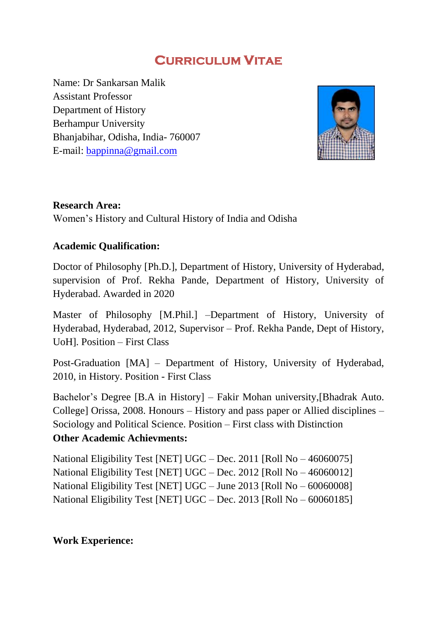# **CURRICULUM VITAE**

Name: Dr Sankarsan Malik Assistant Professor Department of History Berhampur University Bhanjabihar, Odisha, India- 760007 E-mail: [bappinna@gmail.com](mailto:bappinna@gmail.com)



# **Research Area:**

Women"s History and Cultural History of India and Odisha

# **Academic Qualification:**

Doctor of Philosophy [Ph.D.], Department of History, University of Hyderabad, supervision of Prof. Rekha Pande, Department of History, University of Hyderabad. Awarded in 2020

Master of Philosophy [M.Phil.] –Department of History, University of Hyderabad, Hyderabad, 2012, Supervisor – Prof. Rekha Pande, Dept of History, UoH]. Position – First Class

Post-Graduation [MA] – Department of History, University of Hyderabad, 2010, in History. Position - First Class

Bachelor's Degree [B.A in History] – Fakir Mohan university, [Bhadrak Auto. College] Orissa, 2008. Honours – History and pass paper or Allied disciplines – Sociology and Political Science. Position – First class with Distinction **Other Academic Achievments:**

National Eligibility Test [NET] UGC – Dec. 2011 [Roll No – 46060075] National Eligibility Test [NET] UGC – Dec. 2012 [Roll No – 46060012] National Eligibility Test [NET] UGC – June 2013 [Roll No – 60060008] National Eligibility Test [NET] UGC – Dec. 2013 [Roll No – 60060185]

# **Work Experience:**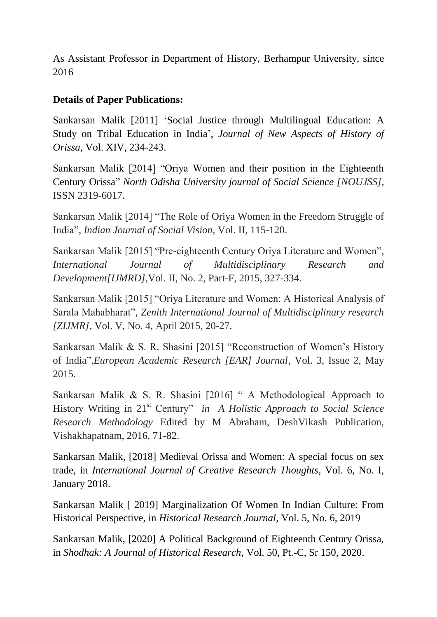As Assistant Professor in Department of History, Berhampur University, since 2016

# **Details of Paper Publications:**

Sankarsan Malik [2011] "Social Justice through Multilingual Education: A Study on Tribal Education in India", *Journal of New Aspects of History of Orissa,* Vol. XIV, 234-243.

Sankarsan Malik [2014] "Oriya Women and their position in the Eighteenth Century Orissa" *North Odisha University journal of Social Science [NOUJSS],* ISSN 2319-6017.

Sankarsan Malik [2014] "The Role of Oriya Women in the Freedom Struggle of India", *Indian Journal of Social Vision*, Vol. II, 115-120.

Sankarsan Malik [2015] "Pre-eighteenth Century Oriya Literature and Women", *International Journal of Multidisciplinary Research and Development[IJMRD],*Vol. II, No. 2, Part-F, 2015, 327-334.

Sankarsan Malik [2015] "Oriya Literature and Women: A Historical Analysis of Sarala Mahabharat", *Zenith International Journal of Multidisciplinary research [ZIJMR]*, Vol. V, No. 4, April 2015, 20-27.

Sankarsan Malik & S. R. Shasini [2015] "Reconstruction of Women's History of India",*European Academic Research [EAR] Journal*, Vol. 3, Issue 2, May 2015.

Sankarsan Malik & S. R. Shasini [2016] " A Methodological Approach to History Writing in 21st Century" *in A Holistic Approach to Social Science Research Methodology* Edited by M Abraham, DeshVikash Publication, Vishakhapatnam, 2016, 71-82.

Sankarsan Malik, [2018] Medieval Orissa and Women: A special focus on sex trade, in *International Journal of Creative Research Thoughts*, Vol. 6, No. I, January 2018.

Sankarsan Malik [ 2019] Marginalization Of Women In Indian Culture: From Historical Perspective, in *Historical Research Journal*, Vol. 5, No. 6, 2019

Sankarsan Malik, [2020] A Political Background of Eighteenth Century Orissa, in *Shodhak: A Journal of Historical Research*, Vol. 50, Pt.-C, Sr 150, 2020.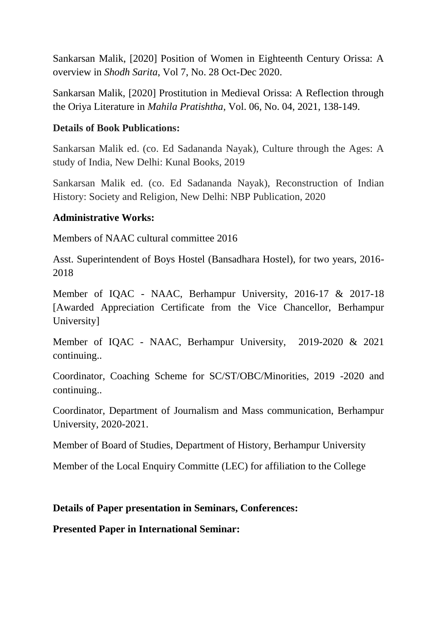Sankarsan Malik, [2020] Position of Women in Eighteenth Century Orissa: A overview in *Shodh Sarita*, Vol 7, No. 28 Oct-Dec 2020.

Sankarsan Malik, [2020] Prostitution in Medieval Orissa: A Reflection through the Oriya Literature in *Mahila Pratishtha*, Vol. 06, No. 04, 2021, 138-149.

### **Details of Book Publications:**

Sankarsan Malik ed. (co. Ed Sadananda Nayak), Culture through the Ages: A study of India, New Delhi: Kunal Books, 2019

Sankarsan Malik ed. (co. Ed Sadananda Nayak), Reconstruction of Indian History: Society and Religion, New Delhi: NBP Publication, 2020

# **Administrative Works:**

Members of NAAC cultural committee 2016

Asst. Superintendent of Boys Hostel (Bansadhara Hostel), for two years, 2016- 2018

Member of IQAC - NAAC, Berhampur University, 2016-17 & 2017-18 [Awarded Appreciation Certificate from the Vice Chancellor, Berhampur University]

Member of IQAC - NAAC, Berhampur University, 2019-2020 & 2021 continuing..

Coordinator, Coaching Scheme for SC/ST/OBC/Minorities, 2019 -2020 and continuing..

Coordinator, Department of Journalism and Mass communication, Berhampur University, 2020-2021.

Member of Board of Studies, Department of History, Berhampur University

Member of the Local Enquiry Committe (LEC) for affiliation to the College

#### **Details of Paper presentation in Seminars, Conferences:**

**Presented Paper in International Seminar:**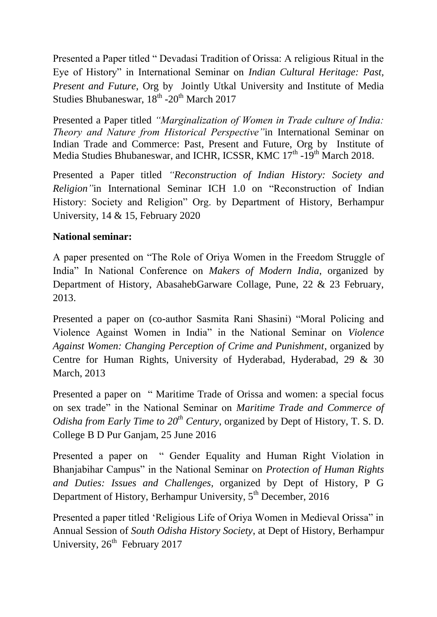Presented a Paper titled " Devadasi Tradition of Orissa: A religious Ritual in the Eye of History" in International Seminar on *Indian Cultural Heritage: Past, Present and Future*, Org by Jointly Utkal University and Institute of Media Studies Bhubaneswar, 18<sup>th</sup> -20<sup>th</sup> March 2017

Presented a Paper titled *"Marginalization of Women in Trade culture of India: Theory and Nature from Historical Perspective"*in International Seminar on Indian Trade and Commerce: Past, Present and Future, Org by Institute of Media Studies Bhubaneswar, and ICHR, ICSSR, KMC 17<sup>th</sup> -19<sup>th</sup> March 2018.

Presented a Paper titled *"Reconstruction of Indian History: Society and Religion"*in International Seminar ICH 1.0 on "Reconstruction of Indian History: Society and Religion" Org. by Department of History, Berhampur University, 14 & 15, February 2020

# **National seminar:**

A paper presented on "The Role of Oriya Women in the Freedom Struggle of India" In National Conference on *Makers of Modern India*, organized by Department of History, AbasahebGarware Collage, Pune, 22 & 23 February, 2013.

Presented a paper on (co-author Sasmita Rani Shasini) "Moral Policing and Violence Against Women in India" in the National Seminar on *Violence Against Women: Changing Perception of Crime and Punishment*, organized by Centre for Human Rights, University of Hyderabad, Hyderabad, 29 & 30 March, 2013

Presented a paper on " Maritime Trade of Orissa and women: a special focus on sex trade" in the National Seminar on *Maritime Trade and Commerce of Odisha from Early Time to 20<sup>th</sup> Century*, organized by Dept of History, T. S. D. College B D Pur Ganjam, 25 June 2016

Presented a paper on " Gender Equality and Human Right Violation in Bhanjabihar Campus" in the National Seminar on *Protection of Human Rights and Duties: Issues and Challenges,* organized by Dept of History, P G Department of History, Berhampur University,  $5<sup>th</sup>$  December, 2016

Presented a paper titled "Religious Life of Oriya Women in Medieval Orissa" in Annual Session of *South Odisha History Society*, at Dept of History, Berhampur University, 26<sup>th</sup> February 2017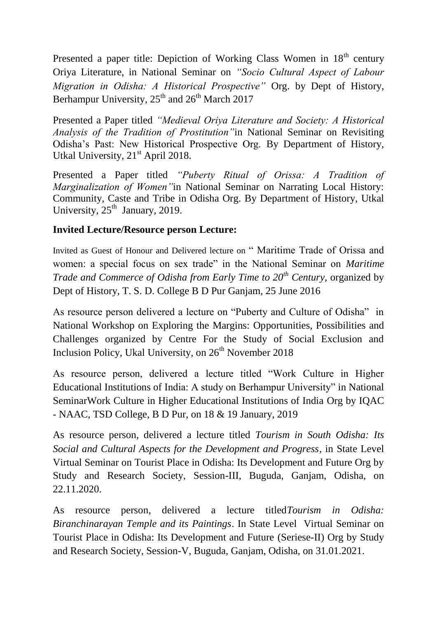Presented a paper title: Depiction of Working Class Women in 18<sup>th</sup> century Oriya Literature, in National Seminar on *"Socio Cultural Aspect of Labour Migration in Odisha: A Historical Prospective"* Org. by Dept of History, Berhampur University,  $25<sup>th</sup>$  and  $26<sup>th</sup>$  March 2017

Presented a Paper titled *"Medieval Oriya Literature and Society: A Historical Analysis of the Tradition of Prostitution"*in National Seminar on Revisiting Odisha"s Past: New Historical Prospective Org. By Department of History, Utkal University, 21<sup>st</sup> April 2018.

Presented a Paper titled *"Puberty Ritual of Orissa: A Tradition of Marginalization of Women"*in National Seminar on Narrating Local History: Community, Caste and Tribe in Odisha Org. By Department of History, Utkal University,  $25<sup>th</sup>$  January, 2019.

# **Invited Lecture/Resource person Lecture:**

Invited as Guest of Honour and Delivered lecture on " Maritime Trade of Orissa and women: a special focus on sex trade" in the National Seminar on *Maritime Trade and Commerce of Odisha from Early Time to 20th Century*, organized by Dept of History, T. S. D. College B D Pur Ganjam, 25 June 2016

As resource person delivered a lecture on "Puberty and Culture of Odisha" in National Workshop on Exploring the Margins: Opportunities, Possibilities and Challenges organized by Centre For the Study of Social Exclusion and Inclusion Policy, Ukal University, on  $26<sup>th</sup>$  November 2018

As resource person, delivered a lecture titled "Work Culture in Higher Educational Institutions of India: A study on Berhampur University" in National SeminarWork Culture in Higher Educational Institutions of India Org by IQAC - NAAC, TSD College, B D Pur, on 18 & 19 January, 2019

As resource person, delivered a lecture titled *Tourism in South Odisha: Its Social and Cultural Aspects for the Development and Progress*, in State Level Virtual Seminar on Tourist Place in Odisha: Its Development and Future Org by Study and Research Society, Session-III, Buguda, Ganjam, Odisha, on 22.11.2020.

As resource person, delivered a lecture titled*Tourism in Odisha: Biranchinarayan Temple and its Paintings*. In State Level Virtual Seminar on Tourist Place in Odisha: Its Development and Future (Seriese-II) Org by Study and Research Society, Session-V, Buguda, Ganjam, Odisha, on 31.01.2021.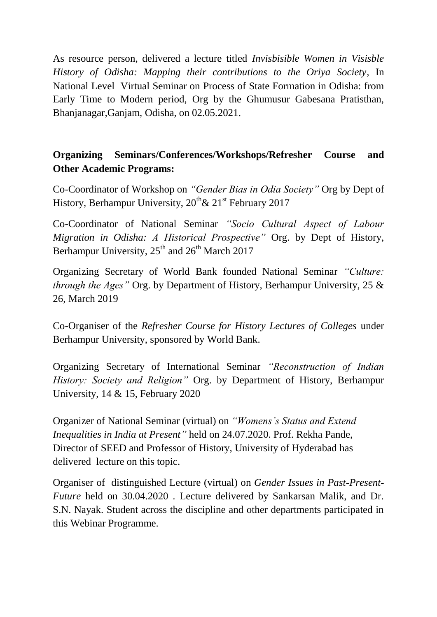As resource person, delivered a lecture titled *Invisbisible Women in Visisble History of Odisha: Mapping their contributions to the Oriya Society*, In National Level Virtual Seminar on Process of State Formation in Odisha: from Early Time to Modern period, Org by the Ghumusur Gabesana Pratisthan, Bhanjanagar,Ganjam, Odisha, on 02.05.2021.

# **Organizing Seminars/Conferences/Workshops/Refresher Course and Other Academic Programs:**

Co-Coordinator of Workshop on *"Gender Bias in Odia Society"* Org by Dept of History, Berhampur University,  $20^{th}$ &  $21^{st}$  February 2017

Co-Coordinator of National Seminar *"Socio Cultural Aspect of Labour Migration in Odisha: A Historical Prospective"* Org. by Dept of History, Berhampur University,  $25<sup>th</sup>$  and  $26<sup>th</sup>$  March 2017

Organizing Secretary of World Bank founded National Seminar *"Culture: through the Ages"* Org. by Department of History, Berhampur University, 25 & 26, March 2019

Co-Organiser of the *Refresher Course for History Lectures of Colleges* under Berhampur University, sponsored by World Bank.

Organizing Secretary of International Seminar *"Reconstruction of Indian History: Society and Religion"* Org. by Department of History, Berhampur University, 14 & 15, February 2020

Organizer of National Seminar (virtual) on *"Womens's Status and Extend Inequalities in India at Present"* held on 24.07.2020. Prof. Rekha Pande, Director of SEED and Professor of History, University of Hyderabad has delivered lecture on this topic.

Organiser of distinguished Lecture (virtual) on *Gender Issues in Past-Present-Future* held on 30.04.2020 . Lecture delivered by Sankarsan Malik, and Dr. S.N. Nayak. Student across the discipline and other departments participated in this Webinar Programme.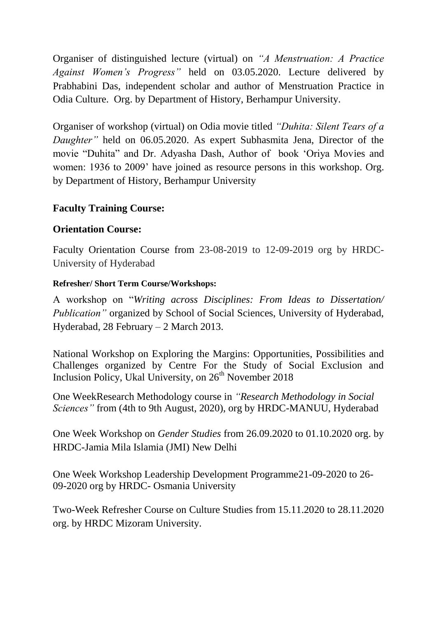Organiser of distinguished lecture (virtual) on *"A Menstruation: A Practice Against Women's Progress"* held on 03.05.2020. Lecture delivered by Prabhabini Das, independent scholar and author of Menstruation Practice in Odia Culture. Org. by Department of History, Berhampur University.

Organiser of workshop (virtual) on Odia movie titled *"Duhita: Silent Tears of a Daughter"* held on 06.05.2020. As expert Subhasmita Jena, Director of the movie "Duhita" and Dr. Adyasha Dash, Author of book "Oriya Movies and women: 1936 to 2009' have joined as resource persons in this workshop. Org. by Department of History, Berhampur University

# **Faculty Training Course:**

# **Orientation Course:**

Faculty Orientation Course from 23-08-2019 to 12-09-2019 org by HRDC-University of Hyderabad

#### **Refresher/ Short Term Course/Workshops:**

A workshop on "*Writing across Disciplines: From Ideas to Dissertation/ Publication"* organized by School of Social Sciences, University of Hyderabad, Hyderabad, 28 February – 2 March 2013.

National Workshop on Exploring the Margins: Opportunities, Possibilities and Challenges organized by Centre For the Study of Social Exclusion and Inclusion Policy, Ukal University, on 26<sup>th</sup> November 2018

One WeekResearch Methodology course in *"Research Methodology in Social Sciences"* from (4th to 9th August, 2020), org by HRDC-MANUU, Hyderabad

One Week Workshop on *Gender Studies* from 26.09.2020 to 01.10.2020 org. by HRDC-Jamia Mila Islamia (JMI) New Delhi

One Week Workshop Leadership Development Programme21-09-2020 to 26- 09-2020 org by HRDC- Osmania University

Two-Week Refresher Course on Culture Studies from 15.11.2020 to 28.11.2020 org. by HRDC Mizoram University.